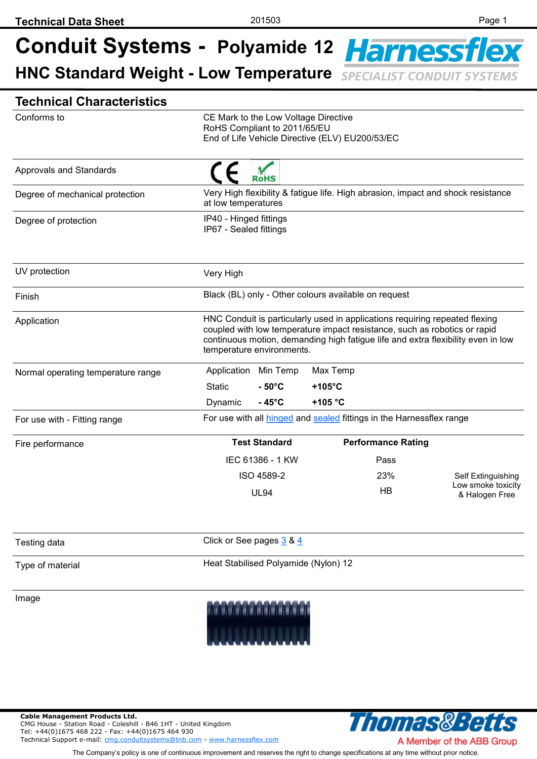| <b>Technical Characteristics</b>   |                                                                                                                                                                                                                                                                           |                                                                                                         |                                                      |                                                                      |                                      |
|------------------------------------|---------------------------------------------------------------------------------------------------------------------------------------------------------------------------------------------------------------------------------------------------------------------------|---------------------------------------------------------------------------------------------------------|------------------------------------------------------|----------------------------------------------------------------------|--------------------------------------|
| Conforms to                        | CE Mark to the Low Voltage Directive<br>RoHS Compliant to 2011/65/EU<br>End of Life Vehicle Directive (ELV) EU200/53/EC                                                                                                                                                   |                                                                                                         |                                                      |                                                                      |                                      |
| Approvals and Standards            | <b>RoHS</b>                                                                                                                                                                                                                                                               |                                                                                                         |                                                      |                                                                      |                                      |
| Degree of mechanical protection    |                                                                                                                                                                                                                                                                           | Very High flexibility & fatigue life. High abrasion, impact and shock resistance<br>at low temperatures |                                                      |                                                                      |                                      |
| Degree of protection               |                                                                                                                                                                                                                                                                           | IP40 - Hinged fittings<br>IP67 - Sealed fittings                                                        |                                                      |                                                                      |                                      |
| UV protection                      | Very High                                                                                                                                                                                                                                                                 |                                                                                                         |                                                      |                                                                      |                                      |
| Finish                             |                                                                                                                                                                                                                                                                           |                                                                                                         | Black (BL) only - Other colours available on request |                                                                      |                                      |
| Application                        | HNC Conduit is particularly used in applications requiring repeated flexing<br>coupled with low temperature impact resistance, such as robotics or rapid<br>continuous motion, demanding high fatigue life and extra flexibility even in low<br>temperature environments. |                                                                                                         |                                                      |                                                                      |                                      |
| Normal operating temperature range | Application                                                                                                                                                                                                                                                               | Min Temp                                                                                                | Max Temp                                             |                                                                      |                                      |
|                                    | <b>Static</b>                                                                                                                                                                                                                                                             | $-50^{\circ}$ C                                                                                         | $+105^{\circ}$ C                                     |                                                                      |                                      |
|                                    | Dynamic                                                                                                                                                                                                                                                                   | $-45^{\circ}$ C                                                                                         | $+105 °C$                                            |                                                                      |                                      |
| For use with - Fitting range       |                                                                                                                                                                                                                                                                           |                                                                                                         |                                                      | For use with all hinged and sealed fittings in the Harnessflex range |                                      |
| Fire performance                   |                                                                                                                                                                                                                                                                           | <b>Test Standard</b>                                                                                    |                                                      | <b>Performance Rating</b>                                            |                                      |
|                                    |                                                                                                                                                                                                                                                                           | IEC 61386 - 1 KW                                                                                        |                                                      | Pass                                                                 |                                      |
|                                    |                                                                                                                                                                                                                                                                           | ISO 4589-2                                                                                              |                                                      | 23%                                                                  | Self Extinguishing                   |
|                                    |                                                                                                                                                                                                                                                                           | <b>UL94</b>                                                                                             |                                                      | HB                                                                   | Low smoke toxicity<br>& Halogen Free |
| Testing data                       |                                                                                                                                                                                                                                                                           | Click or See pages 3 & 4                                                                                |                                                      |                                                                      |                                      |
| Type of material                   | Heat Stabilised Polyamide (Nylon) 12                                                                                                                                                                                                                                      |                                                                                                         |                                                      |                                                                      |                                      |
| Image                              |                                                                                                                                                                                                                                                                           |                                                                                                         |                                                      |                                                                      |                                      |

**Cable Management Products Ltd.**  CMG House - Station Road - Coleshill - B46 1HT - United Kingdom Tel: +44(0)1675 468 222 - Fax: +44(0)1675 464 930 Technical Support e-mail: [cmg.conduitsystems@tnb.com](mailto:cmg.conduitsystems@tnb.com?subject=Data%20Sheet%20-%20Technical%20Support) - [www.harnessflex.com](http://www.harnessflex.com/)



The Company's policy is one of continuous improvement and reserves the right to change specifications at any time without prior notice.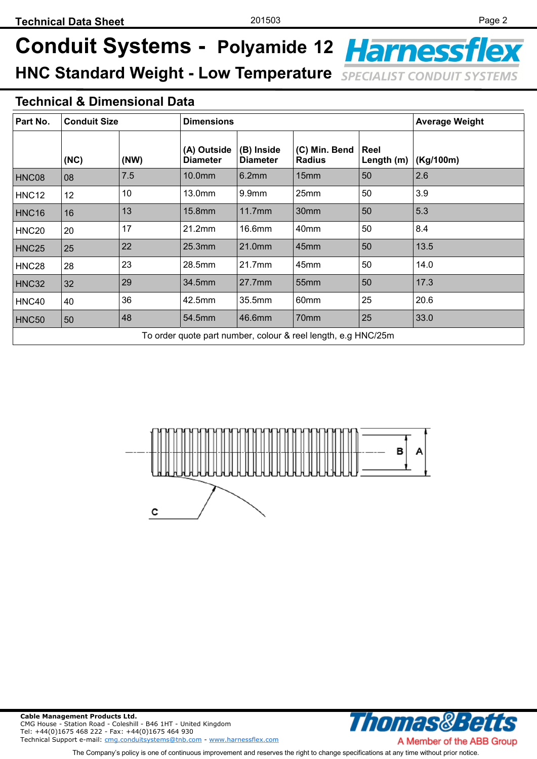#### **Technical & Dimensional Data**

| Part No.                                                      | <b>Conduit Size</b> |      | <b>Dimensions</b>              |                               |                                | <b>Average Weight</b> |           |
|---------------------------------------------------------------|---------------------|------|--------------------------------|-------------------------------|--------------------------------|-----------------------|-----------|
|                                                               | (NC)                | (NW) | (A) Outside<br><b>Diameter</b> | (B) Inside<br><b>Diameter</b> | (C) Min. Bend<br><b>Radius</b> | Reel<br>Length (m)    | (Kg/100m) |
| HNC08                                                         | 08                  | 7.5  | 10.0mm                         | 6.2mm                         | 15mm                           | 50                    | 2.6       |
| <b>HNC12</b>                                                  | 12                  | 10   | 13.0mm                         | 9.9 <sub>mm</sub>             | 25mm                           | 50                    | 3.9       |
| <b>HNC16</b>                                                  | 16                  | 13   | 15.8mm                         | 11.7mm                        | 30mm                           | 50                    | 5.3       |
| <b>HNC20</b>                                                  | 20                  | 17   | 21.2mm                         | 16.6mm                        | 40mm                           | 50                    | 8.4       |
| <b>HNC25</b>                                                  | 25                  | 22   | 25.3mm                         | 21.0mm                        | 45mm                           | 50                    | 13.5      |
| <b>HNC28</b>                                                  | 28                  | 23   | 28.5mm                         | 21.7mm                        | 45mm                           | 50                    | 14.0      |
| <b>HNC32</b>                                                  | 32                  | 29   | 34.5mm                         | 27.7mm                        | 55 <sub>mm</sub>               | 50                    | 17.3      |
| HNC40                                                         | 40                  | 36   | 42.5mm                         | 35.5mm                        | 60mm                           | 25                    | 20.6      |
| <b>HNC50</b>                                                  | 50                  | 48   | 54.5mm                         | 46.6mm                        | 70mm                           | 25                    | 33.0      |
| To order quote part number, colour & reel length, e.g HNC/25m |                     |      |                                |                               |                                |                       |           |





A Member of the ABB Group The Company's policy is one of continuous improvement and reserves the right to change specifications at any time without prior notice.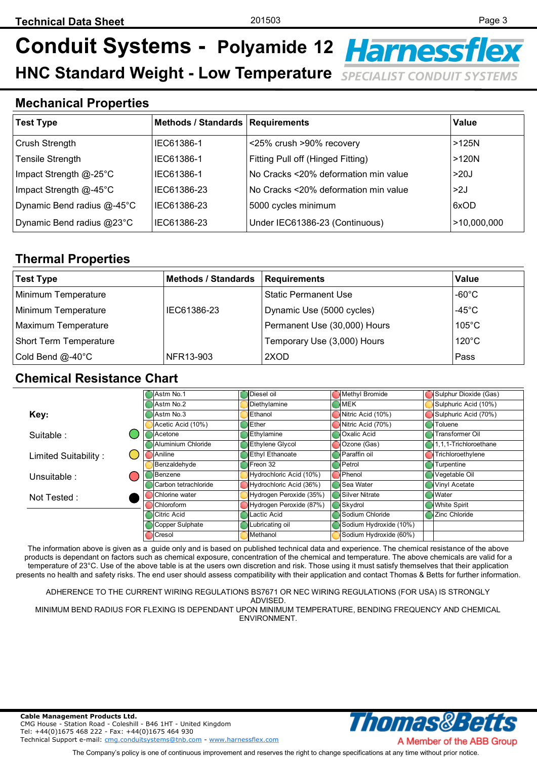#### <span id="page-2-0"></span>**Mechanical Properties**

| <b>Test Type</b>           | Methods / Standards   Requirements |                                      | Value       |
|----------------------------|------------------------------------|--------------------------------------|-------------|
| Crush Strength             | IEC61386-1                         | <25% crush >90% recovery             | >125N       |
| <b>Tensile Strength</b>    | IEC61386-1                         | Fitting Pull off (Hinged Fitting)    | $>120N$     |
| Impact Strength @-25°C     | IEC61386-1                         | No Cracks <20% deformation min value | >20J        |
| Impact Strength @-45°C     | IEC61386-23                        | No Cracks <20% deformation min value | >2J         |
| Dynamic Bend radius @-45°C | IEC61386-23                        | 5000 cycles minimum                  | 6xOD        |
| Dynamic Bend radius @23°C  | IEC61386-23                        | Under IEC61386-23 (Continuous)       | >10,000,000 |

### **Thermal Properties**

| <b>Test Type</b>              | <b>Methods / Standards</b> | Requirements                 | Value            |
|-------------------------------|----------------------------|------------------------------|------------------|
| Minimum Temperature           |                            | <b>Static Permanent Use</b>  | -60 $^{\circ}$ C |
| Minimum Temperature           | IEC61386-23                | Dynamic Use (5000 cycles)    | $-45^{\circ}$ C  |
| Maximum Temperature           |                            | Permanent Use (30,000) Hours | $105^{\circ}$ C  |
| <b>Short Term Temperature</b> |                            | Temporary Use (3,000) Hours  | $120^{\circ}$ C  |
| Cold Bend @-40°C              | NFR13-903                  | 2XOD                         | Pass             |

#### **Chemical Resistance Chart**

|                      | Astm No.1              | Diesel oil              | Methyl Bromide         | Sulphur Dioxide (Gas) |
|----------------------|------------------------|-------------------------|------------------------|-----------------------|
|                      | Astm No.2              | Diethylamine            | <b>MEK</b>             | Sulphuric Acid (10%)  |
| Key:                 | Astm No.3              | Ethanol                 | Nitric Acid (10%)      | Sulphuric Acid (70%)  |
|                      | Acetic Acid (10%)      | Ether                   | Nitric Acid (70%)      | Toluene               |
| Suitable:            | Acetone                | Ethylamine              | Oxalic Acid            | Transformer Oil       |
|                      | Aluminium Chloride     | <b>Ethylene Glycol</b>  | Ozone (Gas)            | 1,1,1-Trichloroethane |
| Limited Suitability: | Aniline                | Ethyl Ethanoate         | Paraffin oil           | Trichloroethylene     |
|                      | Benzaldehyde           | Freon 32                | Petrol                 | Turpentine            |
| Unsuitable :         | Benzene                | Hydrochloric Acid (10%) | Phenol                 | Vegetable Oil         |
|                      | Carbon tetrachloride   | Hydrochloric Acid (36%) | <b>Sea Water</b>       | <b>Vinyl Acetate</b>  |
| Not Tested:          | Chlorine water         | Hydrogen Peroxide (35%) | <b>Silver Nitrate</b>  | Water                 |
|                      | Chloroform             | Hydrogen Peroxide (87%) | Skydrol                | <b>White Spirit</b>   |
|                      | Citric Acid            | Lactic Acid             | Sodium Chloride        | Zinc Chloride         |
|                      | <b>Copper Sulphate</b> | Lubricating oil         | Sodium Hydroxide (10%) |                       |
|                      | Cresol                 | Methanol                | Sodium Hydroxide (60%) |                       |

The information above is given as a guide only and is based on published technical data and experience. The chemical resistance of the above products is dependant on factors such as chemical exposure, concentration of the chemical and temperature. The above chemicals are valid for a temperature of 23°C. Use of the above table is at the users own discretion and risk. Those using it must satisfy themselves that their application presents no health and safety risks. The end user should assess compatibility with their application and contact Thomas & Betts for further information.

ADHERENCE TO THE CURRENT WIRING REGULATIONS BS7671 OR NEC WIRING REGULATIONS (FOR USA) IS STRONGLY ADVISED.

MINIMUM BEND RADIUS FOR FLEXING IS DEPENDANT UPON MINIMUM TEMPERATURE, BENDING FREQUENCY AND CHEMICAL ENVIRONMENT.





The Company's policy is one of continuous improvement and reserves the right to change specifications at any time without prior notice.